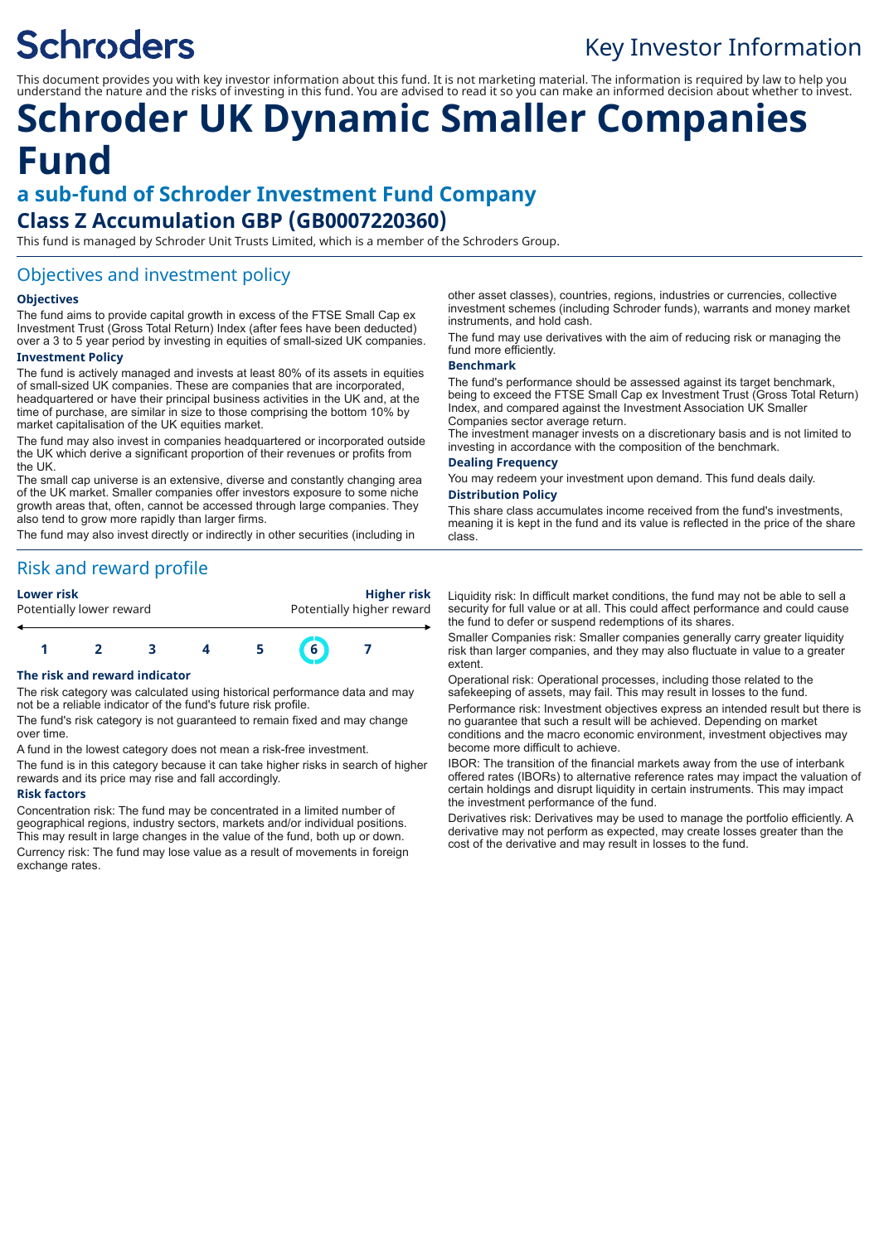# **Schroders**

## Key Investor Information

This document provides you with key investor information about this fund. It is not marketing material. The information is required by law to help you understand the nature and the risks of investing in this fund. You are advised to read it so you can make an informed decision about whether to invest.

## **Schroder UK Dynamic Smaller Companies Fund**

## **a sub-fund of Schroder Investment Fund Company Class Z Accumulation GBP (GB0007220360)**

This fund is managed by Schroder Unit Trusts Limited, which is a member of the Schroders Group.

## Objectives and investment policy

#### **Objectives**

The fund aims to provide capital growth in excess of the FTSE Small Cap ex Investment Trust (Gross Total Return) Index (after fees have been deducted) over a 3 to 5 year period by investing in equities of small-sized UK companies.

#### **Investment Policy**

The fund is actively managed and invests at least 80% of its assets in equities of small-sized UK companies. These are companies that are incorporated, headquartered or have their principal business activities in the UK and, at the time of purchase, are similar in size to those comprising the bottom 10% by market capitalisation of the UK equities market.

The fund may also invest in companies headquartered or incorporated outside the UK which derive a significant proportion of their revenues or profits from the UK.

The small cap universe is an extensive, diverse and constantly changing area of the UK market. Smaller companies offer investors exposure to some niche growth areas that, often, cannot be accessed through large companies. They also tend to grow more rapidly than larger firms.

The fund may also invest directly or indirectly in other securities (including in

## Risk and reward profile

| <b>Lower risk</b>        |  |  |  | <b>Higher risk</b>        |   |  |  |
|--------------------------|--|--|--|---------------------------|---|--|--|
| Potentially lower reward |  |  |  | Potentially higher reward |   |  |  |
|                          |  |  |  |                           | 6 |  |  |

#### **The risk and reward indicator**

The risk category was calculated using historical performance data and may not be a reliable indicator of the fund's future risk profile.

The fund's risk category is not guaranteed to remain fixed and may change over time.

A fund in the lowest category does not mean a risk-free investment.

The fund is in this category because it can take higher risks in search of higher rewards and its price may rise and fall accordingly.

#### **Risk factors**

Concentration risk: The fund may be concentrated in a limited number of geographical regions, industry sectors, markets and/or individual positions. This may result in large changes in the value of the fund, both up or down. Currency risk: The fund may lose value as a result of movements in foreign exchange rates.

other asset classes), countries, regions, industries or currencies, collective investment schemes (including Schroder funds), warrants and money market instruments, and hold cash.

The fund may use derivatives with the aim of reducing risk or managing the fund more efficiently.

#### **Benchmark**

The fund's performance should be assessed against its target benchmark, being to exceed the FTSE Small Cap ex Investment Trust (Gross Total Return) Index, and compared against the Investment Association UK Smaller Companies sector average return.

The investment manager invests on a discretionary basis and is not limited to investing in accordance with the composition of the benchmark.

#### **Dealing Frequency**

You may redeem your investment upon demand. This fund deals daily.

#### **Distribution Policy**

This share class accumulates income received from the fund's investments, meaning it is kept in the fund and its value is reflected in the price of the share class.

Liquidity risk: In difficult market conditions, the fund may not be able to sell a security for full value or at all. This could affect performance and could cause the fund to defer or suspend redemptions of its shares.

Smaller Companies risk: Smaller companies generally carry greater liquidity risk than larger companies, and they may also fluctuate in value to a greater extent.

Operational risk: Operational processes, including those related to the safekeeping of assets, may fail. This may result in losses to the fund. Performance risk: Investment objectives express an intended result but there is no guarantee that such a result will be achieved. Depending on market conditions and the macro economic environment, investment objectives may become more difficult to achieve.

IBOR: The transition of the financial markets away from the use of interbank offered rates (IBORs) to alternative reference rates may impact the valuation of certain holdings and disrupt liquidity in certain instruments. This may impact the investment performance of the fund.

Derivatives risk: Derivatives may be used to manage the portfolio efficiently. A derivative may not perform as expected, may create losses greater than the cost of the derivative and may result in losses to the fund.